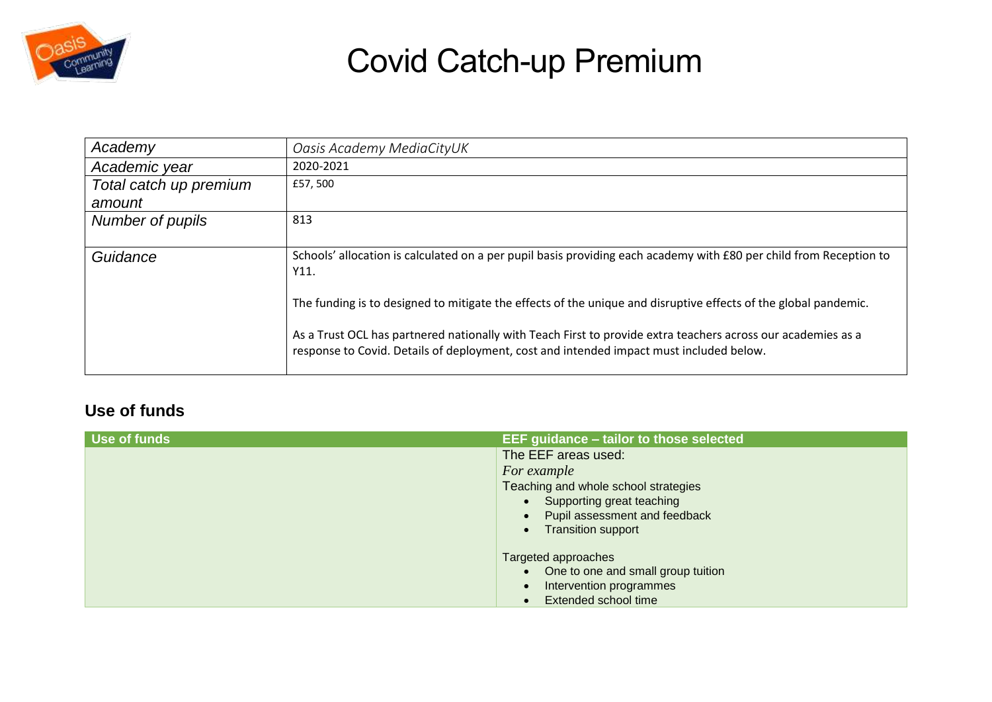

| Academy                | Oasis Academy MediaCityUK                                                                                                                                                                               |
|------------------------|---------------------------------------------------------------------------------------------------------------------------------------------------------------------------------------------------------|
| Academic year          | 2020-2021                                                                                                                                                                                               |
| Total catch up premium | £57,500                                                                                                                                                                                                 |
| amount                 |                                                                                                                                                                                                         |
| Number of pupils       | 813                                                                                                                                                                                                     |
|                        |                                                                                                                                                                                                         |
| Guidance               | Schools' allocation is calculated on a per pupil basis providing each academy with £80 per child from Reception to<br>Y11.                                                                              |
|                        | The funding is to designed to mitigate the effects of the unique and disruptive effects of the global pandemic.                                                                                         |
|                        | As a Trust OCL has partnered nationally with Teach First to provide extra teachers across our academies as a<br>response to Covid. Details of deployment, cost and intended impact must included below. |

#### **Use of funds**

| Use of funds | EEF guidance - tailor to those selected |
|--------------|-----------------------------------------|
|              | The EEF areas used:                     |
|              | For example                             |
|              | Teaching and whole school strategies    |
|              | • Supporting great teaching             |
|              | Pupil assessment and feedback           |
|              | <b>Transition support</b>               |
|              | Targeted approaches                     |
|              | • One to one and small group tuition    |
|              | Intervention programmes                 |
|              |                                         |
|              | Extended school time                    |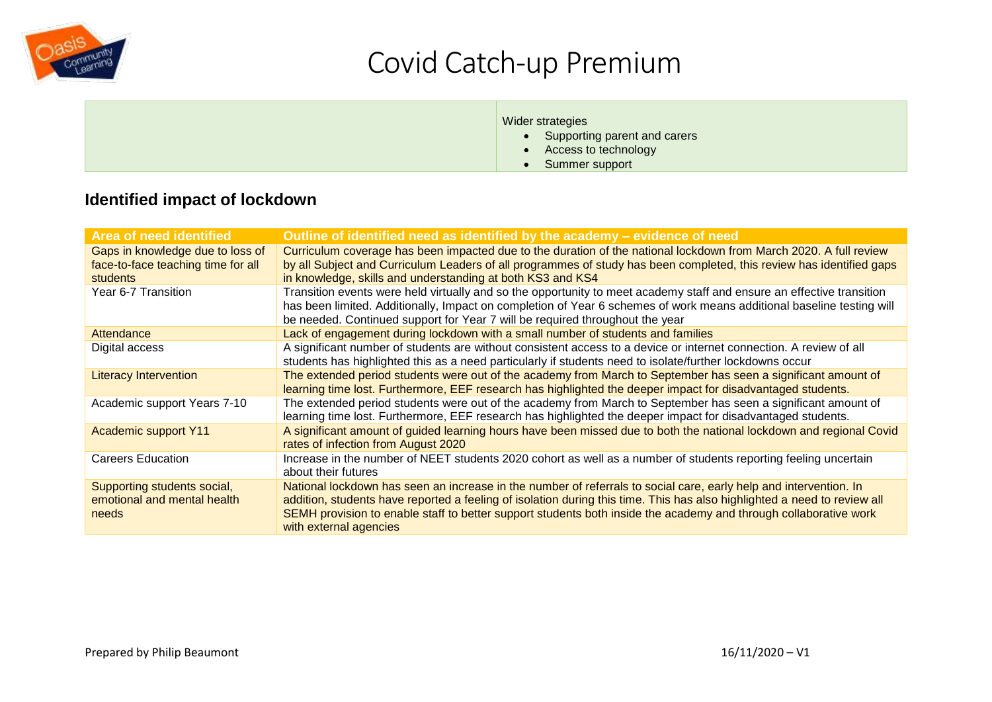

#### Wider strategies

- Supporting parent and carers
- Access to technology
- Summer support

#### **Identified impact of lockdown**

| <b>Area of need identified</b>                                                            | Outline of identified need as identified by the academy – evidence of need                                                                                                                                                                                                                                                                                                                  |
|-------------------------------------------------------------------------------------------|---------------------------------------------------------------------------------------------------------------------------------------------------------------------------------------------------------------------------------------------------------------------------------------------------------------------------------------------------------------------------------------------|
| Gaps in knowledge due to loss of<br>face-to-face teaching time for all<br><b>students</b> | Curriculum coverage has been impacted due to the duration of the national lockdown from March 2020. A full review<br>by all Subject and Curriculum Leaders of all programmes of study has been completed, this review has identified gaps<br>in knowledge, skills and understanding at both KS3 and KS4                                                                                     |
| Year 6-7 Transition                                                                       | Transition events were held virtually and so the opportunity to meet academy staff and ensure an effective transition<br>has been limited. Additionally, Impact on completion of Year 6 schemes of work means additional baseline testing will<br>be needed. Continued support for Year 7 will be required throughout the year                                                              |
| Attendance                                                                                | Lack of engagement during lockdown with a small number of students and families                                                                                                                                                                                                                                                                                                             |
| Digital access                                                                            | A significant number of students are without consistent access to a device or internet connection. A review of all<br>students has highlighted this as a need particularly if students need to isolate/further lockdowns occur                                                                                                                                                              |
| <b>Literacy Intervention</b>                                                              | The extended period students were out of the academy from March to September has seen a significant amount of<br>learning time lost. Furthermore, EEF research has highlighted the deeper impact for disadvantaged students.                                                                                                                                                                |
| Academic support Years 7-10                                                               | The extended period students were out of the academy from March to September has seen a significant amount of<br>learning time lost. Furthermore, EEF research has highlighted the deeper impact for disadvantaged students.                                                                                                                                                                |
| <b>Academic support Y11</b>                                                               | A significant amount of guided learning hours have been missed due to both the national lockdown and regional Covid<br>rates of infection from August 2020                                                                                                                                                                                                                                  |
| <b>Careers Education</b>                                                                  | Increase in the number of NEET students 2020 cohort as well as a number of students reporting feeling uncertain<br>about their futures                                                                                                                                                                                                                                                      |
| Supporting students social,<br>emotional and mental health<br>needs                       | National lockdown has seen an increase in the number of referrals to social care, early help and intervention. In<br>addition, students have reported a feeling of isolation during this time. This has also highlighted a need to review all<br>SEMH provision to enable staff to better support students both inside the academy and through collaborative work<br>with external agencies |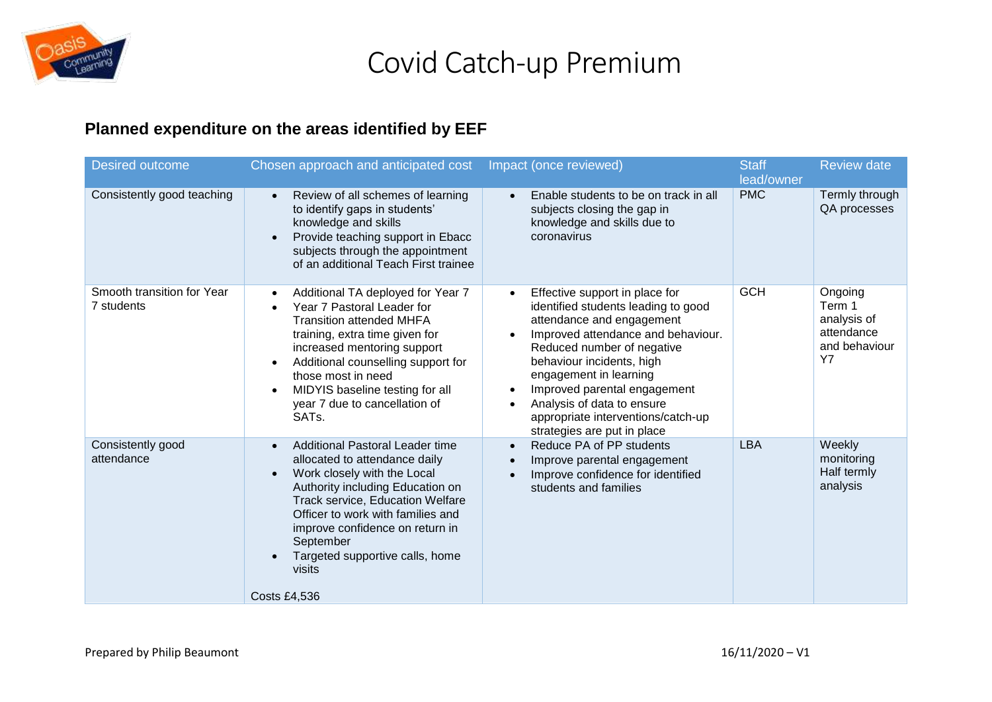

### **Planned expenditure on the areas identified by EEF**

| <b>Desired outcome</b>                   | Chosen approach and anticipated cost                                                                                                                                                                                                                                                                                                                 | Impact (once reviewed)                                                                                                                                                                                                                                                                                                                                                                                  | <b>Staff</b><br>lead/owner | <b>Review date</b>                                                           |
|------------------------------------------|------------------------------------------------------------------------------------------------------------------------------------------------------------------------------------------------------------------------------------------------------------------------------------------------------------------------------------------------------|---------------------------------------------------------------------------------------------------------------------------------------------------------------------------------------------------------------------------------------------------------------------------------------------------------------------------------------------------------------------------------------------------------|----------------------------|------------------------------------------------------------------------------|
| Consistently good teaching               | Review of all schemes of learning<br>$\bullet$<br>to identify gaps in students'<br>knowledge and skills<br>Provide teaching support in Ebacc<br>$\bullet$<br>subjects through the appointment<br>of an additional Teach First trainee                                                                                                                | Enable students to be on track in all<br>$\bullet$<br>subjects closing the gap in<br>knowledge and skills due to<br>coronavirus                                                                                                                                                                                                                                                                         | <b>PMC</b>                 | Termly through<br>QA processes                                               |
| Smooth transition for Year<br>7 students | Additional TA deployed for Year 7<br>$\bullet$<br>Year 7 Pastoral Leader for<br><b>Transition attended MHFA</b><br>training, extra time given for<br>increased mentoring support<br>Additional counselling support for<br>$\bullet$<br>those most in need<br>MIDYIS baseline testing for all<br>year 7 due to cancellation of<br>SATs.               | Effective support in place for<br>$\bullet$<br>identified students leading to good<br>attendance and engagement<br>Improved attendance and behaviour.<br>$\bullet$<br>Reduced number of negative<br>behaviour incidents, high<br>engagement in learning<br>Improved parental engagement<br>$\bullet$<br>Analysis of data to ensure<br>appropriate interventions/catch-up<br>strategies are put in place | <b>GCH</b>                 | Ongoing<br>Term 1<br>analysis of<br>attendance<br>and behaviour<br><b>Y7</b> |
| Consistently good<br>attendance          | <b>Additional Pastoral Leader time</b><br>$\bullet$<br>allocated to attendance daily<br>Work closely with the Local<br>Authority including Education on<br>Track service, Education Welfare<br>Officer to work with families and<br>improve confidence on return in<br>September<br>Targeted supportive calls, home<br>visits<br><b>Costs £4,536</b> | Reduce PA of PP students<br>$\bullet$<br>Improve parental engagement<br>Improve confidence for identified<br>students and families                                                                                                                                                                                                                                                                      | <b>LBA</b>                 | Weekly<br>monitoring<br>Half termly<br>analysis                              |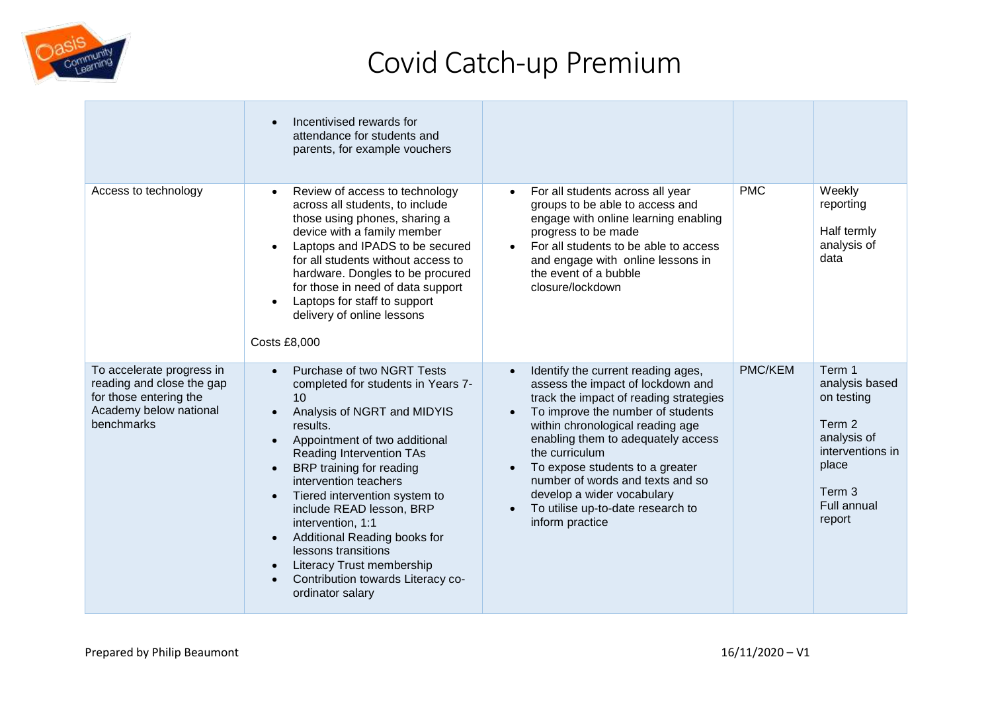

|                                                                                                                          | Incentivised rewards for<br>$\bullet$<br>attendance for students and<br>parents, for example vouchers                                                                                                                                                                                                                                                                                                                                                                                                                               |                                                                                                                                                                                                                                                                                                                                                                                                                 |            |                                                                                                                                        |
|--------------------------------------------------------------------------------------------------------------------------|-------------------------------------------------------------------------------------------------------------------------------------------------------------------------------------------------------------------------------------------------------------------------------------------------------------------------------------------------------------------------------------------------------------------------------------------------------------------------------------------------------------------------------------|-----------------------------------------------------------------------------------------------------------------------------------------------------------------------------------------------------------------------------------------------------------------------------------------------------------------------------------------------------------------------------------------------------------------|------------|----------------------------------------------------------------------------------------------------------------------------------------|
| Access to technology                                                                                                     | Review of access to technology<br>$\bullet$<br>across all students, to include<br>those using phones, sharing a<br>device with a family member<br>Laptops and IPADS to be secured<br>for all students without access to<br>hardware. Dongles to be procured<br>for those in need of data support<br>Laptops for staff to support<br>delivery of online lessons<br><b>Costs £8,000</b>                                                                                                                                               | For all students across all year<br>$\bullet$<br>groups to be able to access and<br>engage with online learning enabling<br>progress to be made<br>For all students to be able to access<br>and engage with online lessons in<br>the event of a bubble<br>closure/lockdown                                                                                                                                      | <b>PMC</b> | Weekly<br>reporting<br>Half termly<br>analysis of<br>data                                                                              |
| To accelerate progress in<br>reading and close the gap<br>for those entering the<br>Academy below national<br>benchmarks | Purchase of two NGRT Tests<br>completed for students in Years 7-<br>10<br>Analysis of NGRT and MIDYIS<br>results.<br>Appointment of two additional<br>Reading Intervention TAs<br>BRP training for reading<br>$\bullet$<br>intervention teachers<br>Tiered intervention system to<br>$\bullet$<br>include READ lesson, BRP<br>intervention, 1:1<br>Additional Reading books for<br>$\bullet$<br>lessons transitions<br>Literacy Trust membership<br>$\bullet$<br>Contribution towards Literacy co-<br>$\bullet$<br>ordinator salary | Identify the current reading ages,<br>assess the impact of lockdown and<br>track the impact of reading strategies<br>To improve the number of students<br>within chronological reading age<br>enabling them to adequately access<br>the curriculum<br>To expose students to a greater<br>number of words and texts and so<br>develop a wider vocabulary<br>To utilise up-to-date research to<br>inform practice | PMC/KEM    | Term 1<br>analysis based<br>on testing<br>Term 2<br>analysis of<br>interventions in<br>place<br>Term 3<br><b>Full annual</b><br>report |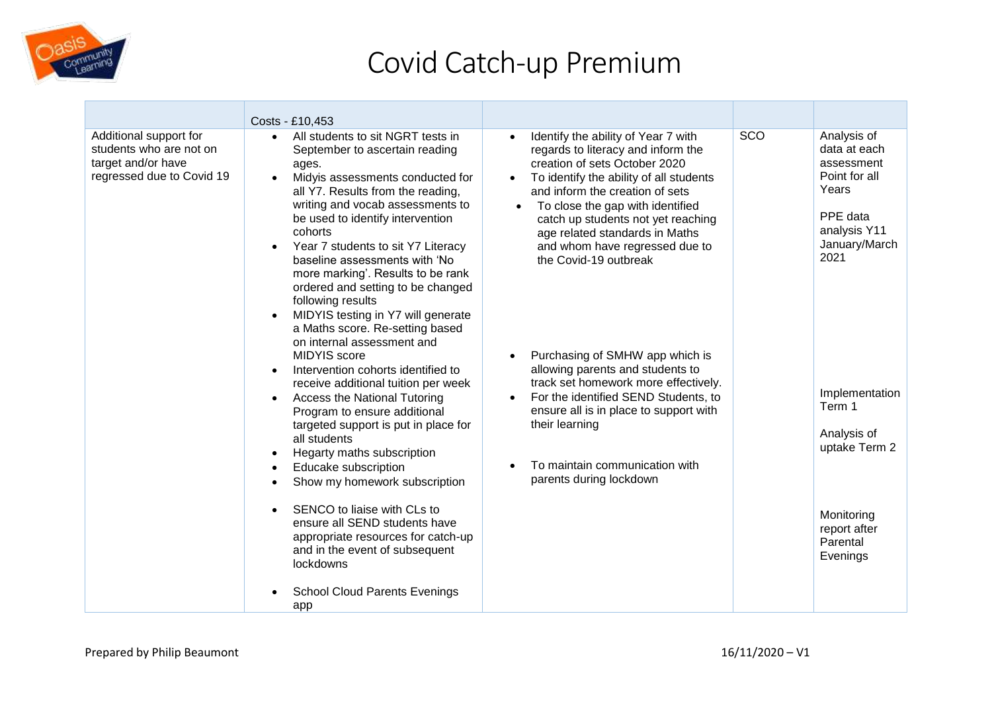

|                                                                                                      | Costs - £10,453                                                                                                                                                                                                                                                                                                                                                                                                                                                                                                                                                                                                                                                                                                                                                                                                                                                                                                                                                                                                                                                                     |                                                                                                                                                                                                                                                                                                                                                                                                                                                                                                                                                                                                                                                 |     |                                                                                                                                                                                                                                            |
|------------------------------------------------------------------------------------------------------|-------------------------------------------------------------------------------------------------------------------------------------------------------------------------------------------------------------------------------------------------------------------------------------------------------------------------------------------------------------------------------------------------------------------------------------------------------------------------------------------------------------------------------------------------------------------------------------------------------------------------------------------------------------------------------------------------------------------------------------------------------------------------------------------------------------------------------------------------------------------------------------------------------------------------------------------------------------------------------------------------------------------------------------------------------------------------------------|-------------------------------------------------------------------------------------------------------------------------------------------------------------------------------------------------------------------------------------------------------------------------------------------------------------------------------------------------------------------------------------------------------------------------------------------------------------------------------------------------------------------------------------------------------------------------------------------------------------------------------------------------|-----|--------------------------------------------------------------------------------------------------------------------------------------------------------------------------------------------------------------------------------------------|
| Additional support for<br>students who are not on<br>target and/or have<br>regressed due to Covid 19 | All students to sit NGRT tests in<br>$\bullet$<br>September to ascertain reading<br>ages.<br>Midyis assessments conducted for<br>all Y7. Results from the reading,<br>writing and vocab assessments to<br>be used to identify intervention<br>cohorts<br>Year 7 students to sit Y7 Literacy<br>baseline assessments with 'No<br>more marking'. Results to be rank<br>ordered and setting to be changed<br>following results<br>MIDYIS testing in Y7 will generate<br>a Maths score. Re-setting based<br>on internal assessment and<br><b>MIDYIS</b> score<br>Intervention cohorts identified to<br>receive additional tuition per week<br><b>Access the National Tutoring</b><br>Program to ensure additional<br>targeted support is put in place for<br>all students<br>Hegarty maths subscription<br>$\bullet$<br>Educake subscription<br>Show my homework subscription<br>$\bullet$<br>SENCO to liaise with CLs to<br>ensure all SEND students have<br>appropriate resources for catch-up<br>and in the event of subsequent<br>lockdowns<br><b>School Cloud Parents Evenings</b> | Identify the ability of Year 7 with<br>regards to literacy and inform the<br>creation of sets October 2020<br>To identify the ability of all students<br>and inform the creation of sets<br>To close the gap with identified<br>catch up students not yet reaching<br>age related standards in Maths<br>and whom have regressed due to<br>the Covid-19 outbreak<br>Purchasing of SMHW app which is<br>allowing parents and students to<br>track set homework more effectively.<br>For the identified SEND Students, to<br>ensure all is in place to support with<br>their learning<br>To maintain communication with<br>parents during lockdown | SCO | Analysis of<br>data at each<br>assessment<br>Point for all<br>Years<br>PPE data<br>analysis Y11<br>January/March<br>2021<br>Implementation<br>Term 1<br>Analysis of<br>uptake Term 2<br>Monitoring<br>report after<br>Parental<br>Evenings |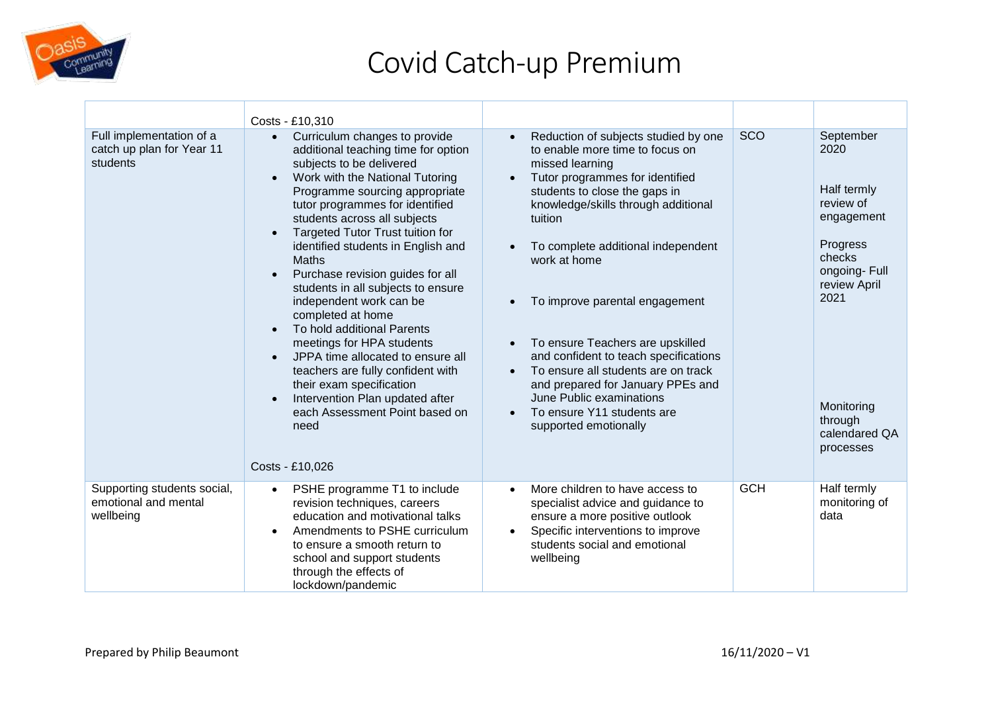

|                                                                   | Costs - £10,310                                                                                                                                                                                                                                                                                                                                                                                                                                                                                                                                                                                                                                                                                                                                                                          |                                                                                                                                                                                                                                                                                                                                                                                                                                                                                                                                                                                             |            |                                                                                                                                                                                  |
|-------------------------------------------------------------------|------------------------------------------------------------------------------------------------------------------------------------------------------------------------------------------------------------------------------------------------------------------------------------------------------------------------------------------------------------------------------------------------------------------------------------------------------------------------------------------------------------------------------------------------------------------------------------------------------------------------------------------------------------------------------------------------------------------------------------------------------------------------------------------|---------------------------------------------------------------------------------------------------------------------------------------------------------------------------------------------------------------------------------------------------------------------------------------------------------------------------------------------------------------------------------------------------------------------------------------------------------------------------------------------------------------------------------------------------------------------------------------------|------------|----------------------------------------------------------------------------------------------------------------------------------------------------------------------------------|
| Full implementation of a<br>catch up plan for Year 11<br>students | Curriculum changes to provide<br>$\bullet$<br>additional teaching time for option<br>subjects to be delivered<br>Work with the National Tutoring<br>$\bullet$<br>Programme sourcing appropriate<br>tutor programmes for identified<br>students across all subjects<br><b>Targeted Tutor Trust tuition for</b><br>identified students in English and<br><b>Maths</b><br>Purchase revision guides for all<br>students in all subjects to ensure<br>independent work can be<br>completed at home<br>To hold additional Parents<br>$\bullet$<br>meetings for HPA students<br>JPPA time allocated to ensure all<br>teachers are fully confident with<br>their exam specification<br>Intervention Plan updated after<br>$\bullet$<br>each Assessment Point based on<br>need<br>Costs - £10,026 | Reduction of subjects studied by one<br>to enable more time to focus on<br>missed learning<br>Tutor programmes for identified<br>$\bullet$<br>students to close the gaps in<br>knowledge/skills through additional<br>tuition<br>To complete additional independent<br>work at home<br>To improve parental engagement<br>To ensure Teachers are upskilled<br>and confident to teach specifications<br>To ensure all students are on track<br>$\bullet$<br>and prepared for January PPEs and<br>June Public examinations<br>To ensure Y11 students are<br>$\bullet$<br>supported emotionally | SCO        | September<br>2020<br>Half termly<br>review of<br>engagement<br>Progress<br>checks<br>ongoing-Full<br>review April<br>2021<br>Monitoring<br>through<br>calendared QA<br>processes |
| Supporting students social,<br>emotional and mental<br>wellbeing  | PSHE programme T1 to include<br>$\bullet$<br>revision techniques, careers<br>education and motivational talks<br>Amendments to PSHE curriculum<br>$\bullet$<br>to ensure a smooth return to<br>school and support students<br>through the effects of<br>lockdown/pandemic                                                                                                                                                                                                                                                                                                                                                                                                                                                                                                                | More children to have access to<br>specialist advice and guidance to<br>ensure a more positive outlook<br>Specific interventions to improve<br>$\bullet$<br>students social and emotional<br>wellbeing                                                                                                                                                                                                                                                                                                                                                                                      | <b>GCH</b> | Half termly<br>monitoring of<br>data                                                                                                                                             |